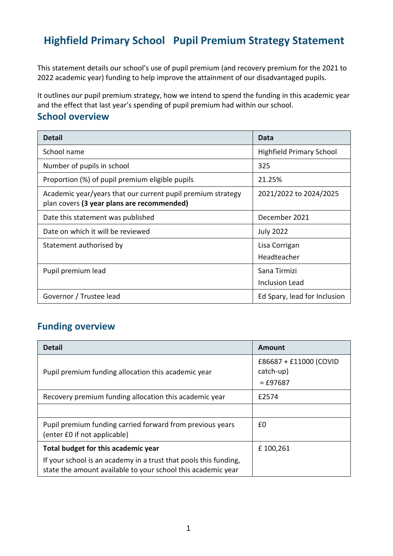# **Highfield Primary School Pupil Premium Strategy Statement**

This statement details our school's use of pupil premium (and recovery premium for the 2021 to 2022 academic year) funding to help improve the attainment of our disadvantaged pupils.

It outlines our pupil premium strategy, how we intend to spend the funding in this academic year and the effect that last year's spending of pupil premium had within our school.

#### **School overview**

| <b>Detail</b>                                                                                             | Data                            |
|-----------------------------------------------------------------------------------------------------------|---------------------------------|
| School name                                                                                               | <b>Highfield Primary School</b> |
| Number of pupils in school                                                                                | 325                             |
| Proportion (%) of pupil premium eligible pupils                                                           | 21.25%                          |
| Academic year/years that our current pupil premium strategy<br>plan covers (3 year plans are recommended) | 2021/2022 to 2024/2025          |
| Date this statement was published                                                                         | December 2021                   |
| Date on which it will be reviewed                                                                         | <b>July 2022</b>                |
| Statement authorised by                                                                                   | Lisa Corrigan<br>Headteacher    |
| Pupil premium lead                                                                                        | Sana Tirmizi<br>Inclusion Lead  |
| Governor / Trustee lead                                                                                   | Ed Spary, lead for Inclusion    |

### **Funding overview**

| <b>Detail</b>                                                                                                                    | Amount                                            |
|----------------------------------------------------------------------------------------------------------------------------------|---------------------------------------------------|
| Pupil premium funding allocation this academic year                                                                              | £86687 + £11000 (COVID<br>catch-up)<br>$=$ £97687 |
| Recovery premium funding allocation this academic year                                                                           | £2574                                             |
|                                                                                                                                  |                                                   |
| Pupil premium funding carried forward from previous years<br>(enter £0 if not applicable)                                        | £0                                                |
| Total budget for this academic year                                                                                              | £100,261                                          |
| If your school is an academy in a trust that pools this funding,<br>state the amount available to your school this academic year |                                                   |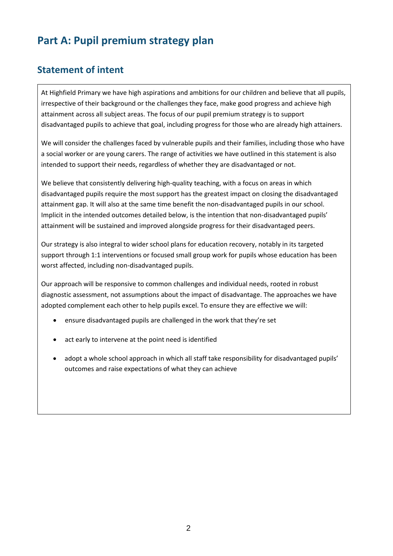# **Part A: Pupil premium strategy plan**

#### **Statement of intent**

At Highfield Primary we have high aspirations and ambitions for our children and believe that all pupils, irrespective of their background or the challenges they face, make good progress and achieve high attainment across all subject areas. The focus of our pupil premium strategy is to support disadvantaged pupils to achieve that goal, including progress for those who are already high attainers.

We will consider the challenges faced by vulnerable pupils and their families, including those who have a social worker or are young carers. The range of activities we have outlined in this statement is also intended to support their needs, regardless of whether they are disadvantaged or not.

We believe that consistently delivering high-quality teaching, with a focus on areas in which disadvantaged pupils require the most support has the greatest impact on closing the disadvantaged attainment gap. It will also at the same time benefit the non-disadvantaged pupils in our school. Implicit in the intended outcomes detailed below, is the intention that non-disadvantaged pupils' attainment will be sustained and improved alongside progress for their disadvantaged peers.

Our strategy is also integral to wider school plans for education recovery, notably in its targeted support through 1:1 interventions or focused small group work for pupils whose education has been worst affected, including non-disadvantaged pupils.

Our approach will be responsive to common challenges and individual needs, rooted in robust diagnostic assessment, not assumptions about the impact of disadvantage. The approaches we have adopted complement each other to help pupils excel. To ensure they are effective we will:

- ensure disadvantaged pupils are challenged in the work that they're set
- act early to intervene at the point need is identified
- adopt a whole school approach in which all staff take responsibility for disadvantaged pupils' outcomes and raise expectations of what they can achieve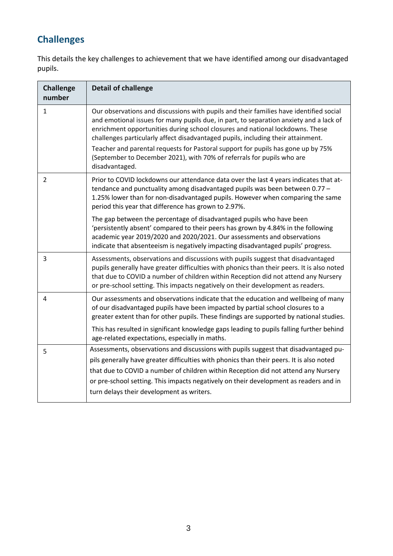## **Challenges**

This details the key challenges to achievement that we have identified among our disadvantaged pupils.

| <b>Challenge</b><br>number | <b>Detail of challenge</b>                                                                                                                                                                                                                                                                                                                                                                                   |
|----------------------------|--------------------------------------------------------------------------------------------------------------------------------------------------------------------------------------------------------------------------------------------------------------------------------------------------------------------------------------------------------------------------------------------------------------|
| 1                          | Our observations and discussions with pupils and their families have identified social<br>and emotional issues for many pupils due, in part, to separation anxiety and a lack of<br>enrichment opportunities during school closures and national lockdowns. These<br>challenges particularly affect disadvantaged pupils, including their attainment.                                                        |
|                            | Teacher and parental requests for Pastoral support for pupils has gone up by 75%<br>(September to December 2021), with 70% of referrals for pupils who are<br>disadvantaged.                                                                                                                                                                                                                                 |
| $\overline{2}$             | Prior to COVID lockdowns our attendance data over the last 4 years indicates that at-<br>tendance and punctuality among disadvantaged pupils was been between 0.77 -<br>1.25% lower than for non-disadvantaged pupils. However when comparing the same<br>period this year that difference has grown to 2.97%.                                                                                               |
|                            | The gap between the percentage of disadvantaged pupils who have been<br>'persistently absent' compared to their peers has grown by 4.84% in the following<br>academic year 2019/2020 and 2020/2021. Our assessments and observations<br>indicate that absenteeism is negatively impacting disadvantaged pupils' progress.                                                                                    |
| 3                          | Assessments, observations and discussions with pupils suggest that disadvantaged<br>pupils generally have greater difficulties with phonics than their peers. It is also noted<br>that due to COVID a number of children within Reception did not attend any Nursery<br>or pre-school setting. This impacts negatively on their development as readers.                                                      |
| 4                          | Our assessments and observations indicate that the education and wellbeing of many<br>of our disadvantaged pupils have been impacted by partial school closures to a<br>greater extent than for other pupils. These findings are supported by national studies.                                                                                                                                              |
|                            | This has resulted in significant knowledge gaps leading to pupils falling further behind<br>age-related expectations, especially in maths.                                                                                                                                                                                                                                                                   |
| 5                          | Assessments, observations and discussions with pupils suggest that disadvantaged pu-<br>pils generally have greater difficulties with phonics than their peers. It is also noted<br>that due to COVID a number of children within Reception did not attend any Nursery<br>or pre-school setting. This impacts negatively on their development as readers and in<br>turn delays their development as writers. |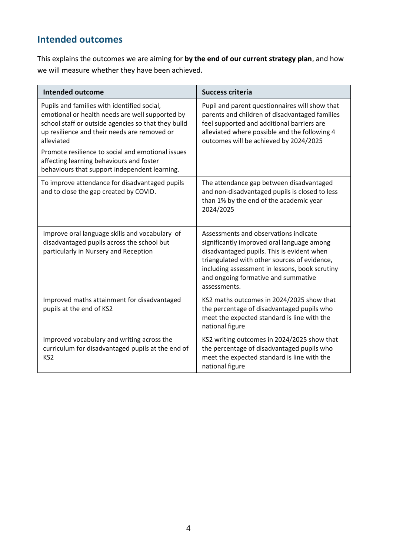## **Intended outcomes**

This explains the outcomes we are aiming for **by the end of our current strategy plan**, and how we will measure whether they have been achieved.

| <b>Intended outcome</b>                                                                                                                                                                                             | <b>Success criteria</b>                                                                                                                                                                                                                                                                    |
|---------------------------------------------------------------------------------------------------------------------------------------------------------------------------------------------------------------------|--------------------------------------------------------------------------------------------------------------------------------------------------------------------------------------------------------------------------------------------------------------------------------------------|
| Pupils and families with identified social,<br>emotional or health needs are well supported by<br>school staff or outside agencies so that they build<br>up resilience and their needs are removed or<br>alleviated | Pupil and parent questionnaires will show that<br>parents and children of disadvantaged families<br>feel supported and additional barriers are<br>alleviated where possible and the following 4<br>outcomes will be achieved by 2024/2025                                                  |
| Promote resilience to social and emotional issues<br>affecting learning behaviours and foster<br>behaviours that support independent learning.                                                                      |                                                                                                                                                                                                                                                                                            |
| To improve attendance for disadvantaged pupils<br>and to close the gap created by COVID.                                                                                                                            | The attendance gap between disadvantaged<br>and non-disadvantaged pupils is closed to less<br>than 1% by the end of the academic year<br>2024/2025                                                                                                                                         |
| Improve oral language skills and vocabulary of<br>disadvantaged pupils across the school but<br>particularly in Nursery and Reception                                                                               | Assessments and observations indicate<br>significantly improved oral language among<br>disadvantaged pupils. This is evident when<br>triangulated with other sources of evidence,<br>including assessment in lessons, book scrutiny<br>and ongoing formative and summative<br>assessments. |
| Improved maths attainment for disadvantaged<br>pupils at the end of KS2                                                                                                                                             | KS2 maths outcomes in 2024/2025 show that<br>the percentage of disadvantaged pupils who<br>meet the expected standard is line with the<br>national figure                                                                                                                                  |
| Improved vocabulary and writing across the<br>curriculum for disadvantaged pupils at the end of<br>KS <sub>2</sub>                                                                                                  | KS2 writing outcomes in 2024/2025 show that<br>the percentage of disadvantaged pupils who<br>meet the expected standard is line with the<br>national figure                                                                                                                                |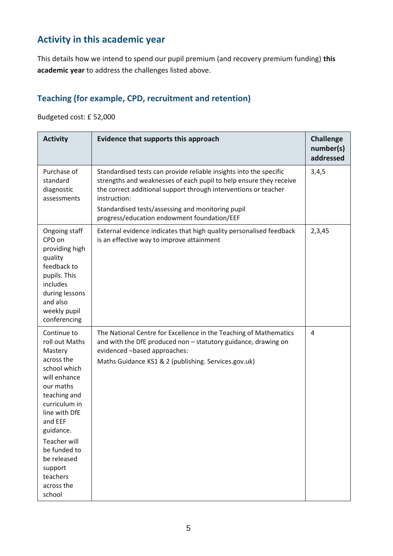## **Activity in this academic year**

This details how we intend to spend our pupil premium (and recovery premium funding) **this academic year** to address the challenges listed above.

#### **Teaching (for example, CPD, recruitment and retention)**

Budgeted cost: £ 52,000

| <b>Activity</b>                                                                                                                                                                                                                                                                    | Evidence that supports this approach                                                                                                                                                                                                                                                                                            | <b>Challenge</b><br>number(s)<br>addressed |
|------------------------------------------------------------------------------------------------------------------------------------------------------------------------------------------------------------------------------------------------------------------------------------|---------------------------------------------------------------------------------------------------------------------------------------------------------------------------------------------------------------------------------------------------------------------------------------------------------------------------------|--------------------------------------------|
| Purchase of<br>standard<br>diagnostic<br>assessments                                                                                                                                                                                                                               | Standardised tests can provide reliable insights into the specific<br>strengths and weaknesses of each pupil to help ensure they receive<br>the correct additional support through interventions or teacher<br>instruction:<br>Standardised tests/assessing and monitoring pupil<br>progress/education endowment foundation/EEF | 3,4,5                                      |
| Ongoing staff<br>CPD on<br>providing high<br>quality<br>feedback to<br>pupils. This<br>includes<br>during lessons<br>and also<br>weekly pupil<br>conferencing                                                                                                                      | External evidence indicates that high quality personalised feedback<br>is an effective way to improve attainment                                                                                                                                                                                                                | 2,3,45                                     |
| Continue to<br>roll out Maths<br>Mastery<br>across the<br>school which<br>will enhance<br>our maths<br>teaching and<br>curriculum in<br>line with DfE<br>and EEF<br>guidance.<br><b>Teacher will</b><br>be funded to<br>be released<br>support<br>teachers<br>across the<br>school | The National Centre for Excellence in the Teaching of Mathematics<br>and with the DfE produced non - statutory guidance, drawing on<br>evidenced -based approaches:<br>Maths Guidance KS1 & 2 (publishing. Services.gov.uk)                                                                                                     | 4                                          |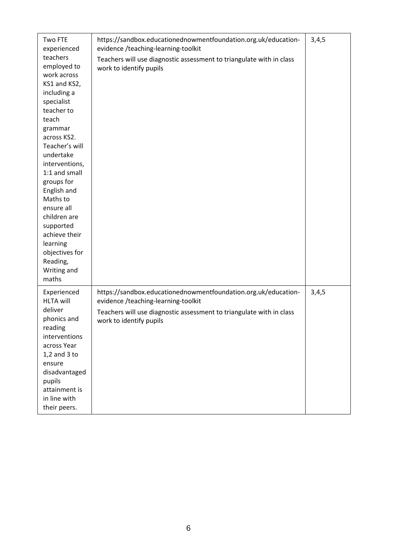| Two FTE<br>experienced<br>teachers<br>employed to<br>work across<br>KS1 and KS2,<br>including a<br>specialist<br>teacher to<br>teach<br>grammar<br>across KS2.<br>Teacher's will<br>undertake<br>interventions,<br>1:1 and small<br>groups for<br>English and<br>Maths to<br>ensure all<br>children are<br>supported<br>achieve their<br>learning<br>objectives for<br>Reading,<br>Writing and<br>maths | https://sandbox.educationednowmentfoundation.org.uk/education-<br>evidence /teaching-learning-toolkit<br>Teachers will use diagnostic assessment to triangulate with in class<br>work to identify pupils | 3,4,5 |
|---------------------------------------------------------------------------------------------------------------------------------------------------------------------------------------------------------------------------------------------------------------------------------------------------------------------------------------------------------------------------------------------------------|----------------------------------------------------------------------------------------------------------------------------------------------------------------------------------------------------------|-------|
| Experienced<br><b>HLTA will</b><br>deliver<br>phonics and<br>reading<br>interventions<br>across Year<br>$1,2$ and $3$ to<br>ensure<br>disadvantaged<br>pupils<br>attainment is<br>in line with<br>their peers.                                                                                                                                                                                          | https://sandbox.educationednowmentfoundation.org.uk/education-<br>evidence /teaching-learning-toolkit<br>Teachers will use diagnostic assessment to triangulate with in class<br>work to identify pupils | 3,4,5 |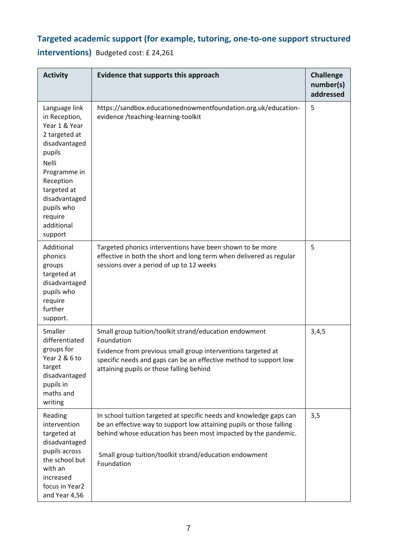## **Targeted academic support (for example, tutoring, one-to-one support structured**

**interventions)** Budgeted cost: £ 24,261

| <b>Activity</b>                                                                                                                                                                                                     | Evidence that supports this approach                                                                                                                                                                                                                                                  | <b>Challenge</b><br>number(s)<br>addressed |
|---------------------------------------------------------------------------------------------------------------------------------------------------------------------------------------------------------------------|---------------------------------------------------------------------------------------------------------------------------------------------------------------------------------------------------------------------------------------------------------------------------------------|--------------------------------------------|
| Language link<br>in Reception,<br>Year 1 & Year<br>2 targeted at<br>disadvantaged<br>pupils<br>Nelli<br>Programme in<br>Reception<br>targeted at<br>disadvantaged<br>pupils who<br>require<br>additional<br>support | https://sandbox.educationednowmentfoundation.org.uk/education-<br>evidence /teaching-learning-toolkit                                                                                                                                                                                 | 5                                          |
| Additional<br>phonics<br>groups<br>targeted at<br>disadvantaged<br>pupils who<br>require<br>further<br>support.                                                                                                     | Targeted phonics interventions have been shown to be more<br>effective in both the short and long term when delivered as regular<br>sessions over a period of up to 12 weeks                                                                                                          | 5                                          |
| Smaller<br>differentiated<br>groups for<br>Year 2 & 6 to<br>target<br>disadvantaged<br>pupils in<br>maths and<br>writing                                                                                            | Small group tuition/toolkit strand/education endowment<br>Foundation<br>Evidence from previous small group interventions targeted at<br>specific needs and gaps can be an effective method to support low<br>attaining pupils or those falling behind                                 | 3,4,5                                      |
| Reading<br>intervention<br>targeted at<br>disadvantaged<br>pupils across<br>the school but<br>with an<br>increased<br>focus in Year2<br>and Year 4,56                                                               | In school tuition targeted at specific needs and knowledge gaps can<br>be an effective way to support low attaining pupils or those falling<br>behind whose education has been most impacted by the pandemic.<br>Small group tuition/toolkit strand/education endowment<br>Foundation | 3,5                                        |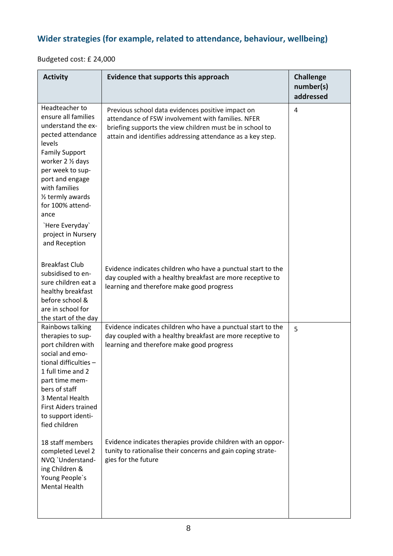## **Wider strategies (for example, related to attendance, behaviour, wellbeing)**

Budgeted cost: £ 24,000

| <b>Activity</b>                                                                                                                                                                                                                                                                                                         | Evidence that supports this approach                                                                                                                                                                                             | <b>Challenge</b><br>number(s)<br>addressed |
|-------------------------------------------------------------------------------------------------------------------------------------------------------------------------------------------------------------------------------------------------------------------------------------------------------------------------|----------------------------------------------------------------------------------------------------------------------------------------------------------------------------------------------------------------------------------|--------------------------------------------|
| Headteacher to<br>ensure all families<br>understand the ex-<br>pected attendance<br>levels<br><b>Family Support</b><br>worker 2 1/2 days<br>per week to sup-<br>port and engage<br>with families<br>1/ <sub>2</sub> termly awards<br>for 100% attend-<br>ance<br>`Here Everyday`<br>project in Nursery<br>and Reception | Previous school data evidences positive impact on<br>attendance of FSW involvement with families. NFER<br>briefing supports the view children must be in school to<br>attain and identifies addressing attendance as a key step. | 4                                          |
| <b>Breakfast Club</b><br>subsidised to en-<br>sure children eat a<br>healthy breakfast<br>before school &<br>are in school for<br>the start of the day                                                                                                                                                                  | Evidence indicates children who have a punctual start to the<br>day coupled with a healthy breakfast are more receptive to<br>learning and therefore make good progress                                                          |                                            |
| Rainbows talking<br>therapies to sup-<br>port children with<br>social and emo-<br>tional difficulties $-$<br>1 full time and 2<br>part time mem-<br>bers of staff<br>3 Mental Health<br><b>First Aiders trained</b><br>to support identi-<br>fied children                                                              | Evidence indicates children who have a punctual start to the<br>day coupled with a healthy breakfast are more receptive to<br>learning and therefore make good progress                                                          | 5                                          |
| 18 staff members<br>completed Level 2<br>NVQ 'Understand-<br>ing Children &<br>Young People's<br><b>Mental Health</b>                                                                                                                                                                                                   | Evidence indicates therapies provide children with an oppor-<br>tunity to rationalise their concerns and gain coping strate-<br>gies for the future                                                                              |                                            |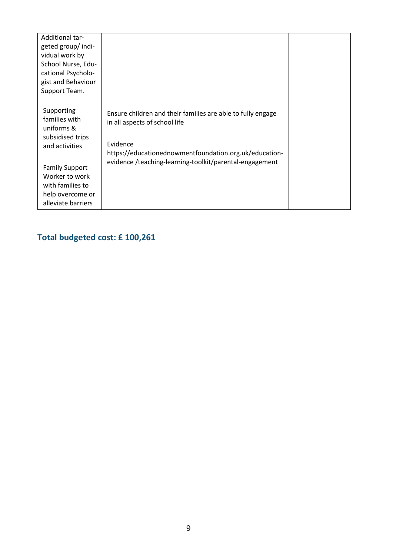| Additional tar-<br>geted group/indi-<br>vidual work by<br>School Nurse, Edu-<br>cational Psycholo-<br>gist and Behaviour<br>Support Team.                                                |                                                                                                                                                                                                                               |  |
|------------------------------------------------------------------------------------------------------------------------------------------------------------------------------------------|-------------------------------------------------------------------------------------------------------------------------------------------------------------------------------------------------------------------------------|--|
| Supporting<br>families with<br>uniforms &<br>subsidised trips<br>and activities<br><b>Family Support</b><br>Worker to work<br>with families to<br>help overcome or<br>alleviate barriers | Ensure children and their families are able to fully engage<br>in all aspects of school life<br>Evidence<br>https://educationednowmentfoundation.org.uk/education-<br>evidence /teaching-learning-toolkit/parental-engagement |  |

# **Total budgeted cost: £ 100,261**